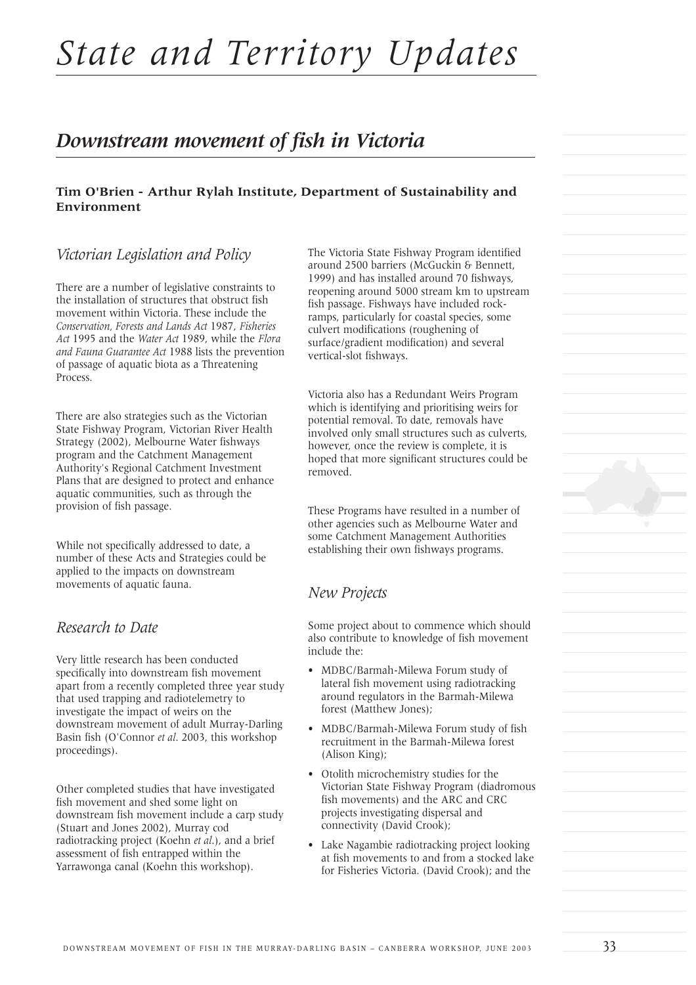# *State and Territory Updates*

## *Downstream movement of fish in Victoria*

#### **Tim O'Brien - Arthur Rylah Institute, Department of Sustainability and Environment**

### *Victorian Legislation and Policy*

There are a number of legislative constraints to the installation of structures that obstruct fish movement within Victoria. These include the *Conservation, Forests and Lands Act* 1987, *Fisheries Act* 1995 and the *Water Act* 1989, while the *Flora and Fauna Guarantee Act* 1988 lists the prevention of passage of aquatic biota as a Threatening Process.

There are also strategies such as the Victorian State Fishway Program, Victorian River Health Strategy (2002), Melbourne Water fishways program and the Catchment Management Authority's Regional Catchment Investment Plans that are designed to protect and enhance aquatic communities, such as through the provision of fish passage.

While not specifically addressed to date, a number of these Acts and Strategies could be applied to the impacts on downstream movements of aquatic fauna.

#### *Research to Date*

Very little research has been conducted specifically into downstream fish movement apart from a recently completed three year study that used trapping and radiotelemetry to investigate the impact of weirs on the downstream movement of adult Murray-Darling Basin fish (O'Connor *et al*. 2003, this workshop proceedings).

Other completed studies that have investigated fish movement and shed some light on downstream fish movement include a carp study (Stuart and Jones 2002), Murray cod radiotracking project (Koehn *et al*.), and a brief assessment of fish entrapped within the Yarrawonga canal (Koehn this workshop).

The Victoria State Fishway Program identified around 2500 barriers (McGuckin & Bennett, 1999) and has installed around 70 fishways, reopening around 5000 stream km to upstream fish passage. Fishways have included rockramps, particularly for coastal species, some culvert modifications (roughening of surface/gradient modification) and several vertical-slot fishways.

Victoria also has a Redundant Weirs Program which is identifying and prioritising weirs for potential removal. To date, removals have involved only small structures such as culverts, however, once the review is complete, it is hoped that more significant structures could be removed.

These Programs have resulted in a number of other agencies such as Melbourne Water and some Catchment Management Authorities establishing their own fishways programs.

#### *New Projects*

Some project about to commence which should also contribute to knowledge of fish movement include the:

- MDBC/Barmah-Milewa Forum study of lateral fish movement using radiotracking around regulators in the Barmah-Milewa forest (Matthew Jones);
- MDBC/Barmah-Milewa Forum study of fish recruitment in the Barmah-Milewa forest (Alison King);
- Otolith microchemistry studies for the Victorian State Fishway Program (diadromous fish movements) and the ARC and CRC projects investigating dispersal and connectivity (David Crook);
- Lake Nagambie radiotracking project looking at fish movements to and from a stocked lake for Fisheries Victoria. (David Crook); and the